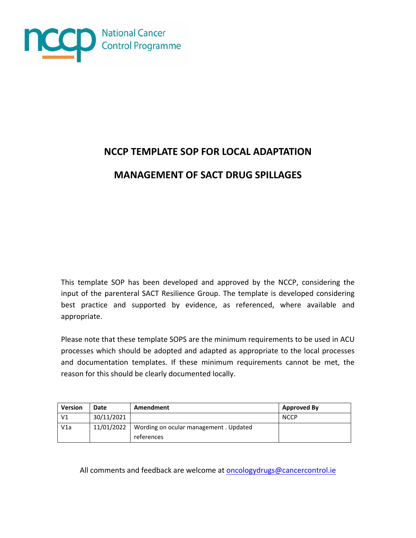

# **NCCP TEMPLATE SOP FOR LOCAL ADAPTATION**

**MANAGEMENT OF SACT DRUG SPILLAGES**

This template SOP has been developed and approved by the NCCP, considering the input of the parenteral SACT Resilience Group. The template is developed considering best practice and supported by evidence, as referenced, where available and appropriate.

Please note that these template SOPS are the minimum requirements to be used in ACU processes which should be adopted and adapted as appropriate to the local processes and documentation templates. If these minimum requirements cannot be met, the reason for this should be clearly documented locally.

| <b>Version</b> | <b>Date</b> | Amendment                                           | <b>Approved By</b> |
|----------------|-------------|-----------------------------------------------------|--------------------|
| V <sub>1</sub> | 30/11/2021  |                                                     | <b>NCCP</b>        |
| V1a            | 11/01/2022  | Wording on ocular management. Updated<br>references |                    |

All comments and feedback are welcome at **oncologydrugs@cancercontrol.ie**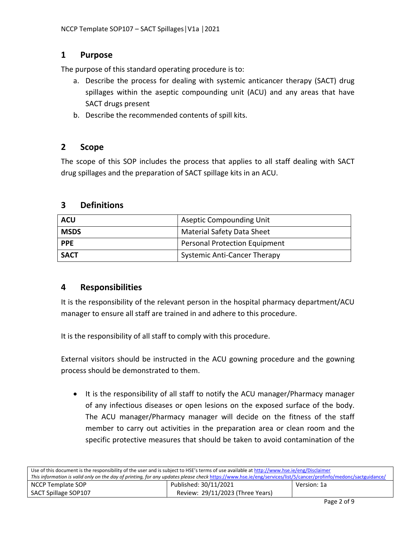# **1 Purpose**

The purpose of this standard operating procedure is to:

- a. Describe the process for dealing with systemic anticancer therapy (SACT) drug spillages within the aseptic compounding unit (ACU) and any areas that have SACT drugs present
- b. Describe the recommended contents of spill kits.

# **2 Scope**

The scope of this SOP includes the process that applies to all staff dealing with SACT drug spillages and the preparation of SACT spillage kits in an ACU.

# **3 Definitions**

| <b>ACU</b>  | <b>Aseptic Compounding Unit</b>      |
|-------------|--------------------------------------|
| <b>MSDS</b> | <b>Material Safety Data Sheet</b>    |
| <b>PPE</b>  | <b>Personal Protection Equipment</b> |
| <b>SACT</b> | <b>Systemic Anti-Cancer Therapy</b>  |

# **4 Responsibilities**

It is the responsibility of the relevant person in the hospital pharmacy department/ACU manager to ensure all staff are trained in and adhere to this procedure.

It is the responsibility of all staff to comply with this procedure.

External visitors should be instructed in the ACU gowning procedure and the gowning process should be demonstrated to them.

 It is the responsibility of all staff to notify the ACU manager/Pharmacy manager of any infectious diseases or open lesions on the exposed surface of the body. The ACU manager/Pharmacy manager will decide on the fitness of the staff member to carry out activities in the preparation area or clean room and the specific protective measures that should be taken to avoid contamination of the

| Use of this document is the responsibility of the user and is subject to HSE's terms of use available at http://www.hse.ie/eng/Disclaimer                       |                                  |             |  |
|-----------------------------------------------------------------------------------------------------------------------------------------------------------------|----------------------------------|-------------|--|
| This information is valid only on the day of printing, for any updates please check https://www.hse.ie/eng/services/list/5/cancer/profinfo/medonc/sactguidance/ |                                  |             |  |
| NCCP Template SOP                                                                                                                                               | Published: 30/11/2021            | Version: 1a |  |
| SACT Spillage SOP107                                                                                                                                            | Review: 29/11/2023 (Three Years) |             |  |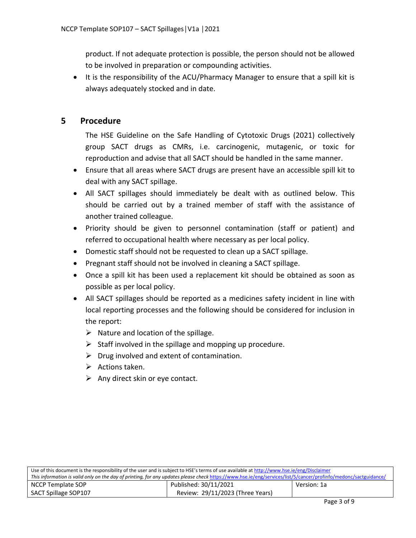product. If not adequate protection is possible, the person should not be allowed to be involved in preparation or compounding activities.

• It is the responsibility of the ACU/Pharmacy Manager to ensure that a spill kit is always adequately stocked and in date.

# **5 Procedure**

The HSE Guideline on the Safe Handling of Cytotoxic Drugs (2021) collectively group SACT drugs as CMRs, i.e. carcinogenic, mutagenic, or toxic for reproduction and advise that all SACT should be handled in the same manner.

- Ensure that all areas where SACT drugs are present have an accessible spill kit to deal with any SACT spillage.
- All SACT spillages should immediately be dealt with as outlined below. This should be carried out by a trained member of staff with the assistance of another trained colleague.
- Priority should be given to personnel contamination (staff or patient) and referred to occupational health where necessary as per local policy.
- Domestic staff should not be requested to clean up a SACT spillage.
- Pregnant staff should not be involved in cleaning a SACT spillage.
- Once a spill kit has been used a replacement kit should be obtained as soon as possible as per local policy.
- All SACT spillages should be reported as a medicines safety incident in line with local reporting processes and the following should be considered for inclusion in the report:
	- $\triangleright$  Nature and location of the spillage.
	- $\triangleright$  Staff involved in the spillage and mopping up procedure.
	- $\triangleright$  Drug involved and extent of contamination.
	- $\triangleright$  Actions taken.
	- $\triangleright$  Any direct skin or eye contact.

| Use of this document is the responsibility of the user and is subject to HSE's terms of use available at http://www.hse.ie/eng/Disclaimer                       |                                  |             |  |
|-----------------------------------------------------------------------------------------------------------------------------------------------------------------|----------------------------------|-------------|--|
| This information is valid only on the day of printing, for any updates please check https://www.hse.ie/eng/services/list/5/cancer/profinfo/medonc/sactguidance/ |                                  |             |  |
| NCCP Template SOP                                                                                                                                               | Published: 30/11/2021            | Version: 1a |  |
| SACT Spillage SOP107                                                                                                                                            | Review: 29/11/2023 (Three Years) |             |  |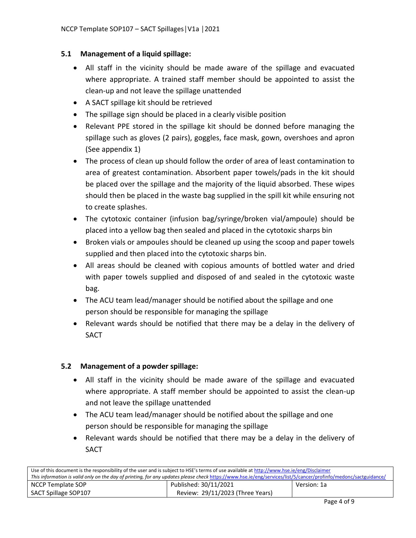#### **5.1 Management of a liquid spillage:**

- All staff in the vicinity should be made aware of the spillage and evacuated where appropriate. A trained staff member should be appointed to assist the clean-up and not leave the spillage unattended
- A SACT spillage kit should be retrieved
- The spillage sign should be placed in a clearly visible position
- Relevant PPE stored in the spillage kit should be donned before managing the spillage such as gloves (2 pairs), goggles, face mask, gown, overshoes and apron (See appendix 1)
- The process of clean up should follow the order of area of least contamination to area of greatest contamination. Absorbent paper towels/pads in the kit should be placed over the spillage and the majority of the liquid absorbed. These wipes should then be placed in the waste bag supplied in the spill kit while ensuring not to create splashes.
- The cytotoxic container (infusion bag/syringe/broken vial/ampoule) should be placed into a yellow bag then sealed and placed in the cytotoxic sharps bin
- Broken vials or ampoules should be cleaned up using the scoop and paper towels supplied and then placed into the cytotoxic sharps bin.
- All areas should be cleaned with copious amounts of bottled water and dried with paper towels supplied and disposed of and sealed in the cytotoxic waste bag.
- The ACU team lead/manager should be notified about the spillage and one person should be responsible for managing the spillage
- Relevant wards should be notified that there may be a delay in the delivery of SACT

#### **5.2 Management of a powder spillage:**

- All staff in the vicinity should be made aware of the spillage and evacuated where appropriate. A staff member should be appointed to assist the clean-up and not leave the spillage unattended
- The ACU team lead/manager should be notified about the spillage and one person should be responsible for managing the spillage
- Relevant wards should be notified that there may be a delay in the delivery of SACT

| Use of this document is the responsibility of the user and is subject to HSE's terms of use available at http://www.hse.ie/eng/Disclaimer                       |                                  |             |  |
|-----------------------------------------------------------------------------------------------------------------------------------------------------------------|----------------------------------|-------------|--|
| This information is valid only on the day of printing, for any updates please check https://www.hse.ie/eng/services/list/5/cancer/profinfo/medonc/sactguidance/ |                                  |             |  |
| NCCP Template SOP                                                                                                                                               | Published: 30/11/2021            | Version: 1a |  |
| SACT Spillage SOP107                                                                                                                                            | Review: 29/11/2023 (Three Years) |             |  |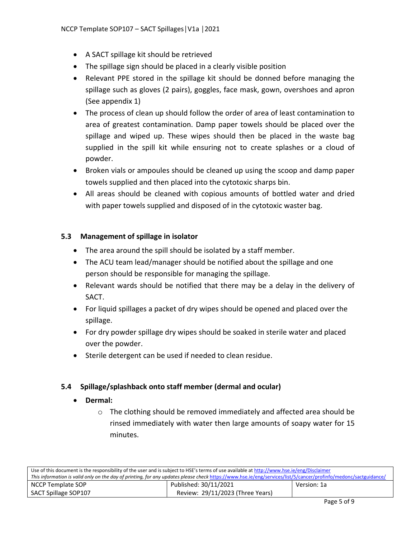- A SACT spillage kit should be retrieved
- The spillage sign should be placed in a clearly visible position
- Relevant PPE stored in the spillage kit should be donned before managing the spillage such as gloves (2 pairs), goggles, face mask, gown, overshoes and apron (See appendix 1)
- The process of clean up should follow the order of area of least contamination to area of greatest contamination. Damp paper towels should be placed over the spillage and wiped up. These wipes should then be placed in the waste bag supplied in the spill kit while ensuring not to create splashes or a cloud of powder.
- Broken vials or ampoules should be cleaned up using the scoop and damp paper towels supplied and then placed into the cytotoxic sharps bin.
- All areas should be cleaned with copious amounts of bottled water and dried with paper towels supplied and disposed of in the cytotoxic waster bag.

#### **5.3 Management of spillage in isolator**

- The area around the spill should be isolated by a staff member.
- The ACU team lead/manager should be notified about the spillage and one person should be responsible for managing the spillage.
- Relevant wards should be notified that there may be a delay in the delivery of SACT.
- For liquid spillages a packet of dry wipes should be opened and placed over the spillage.
- For dry powder spillage dry wipes should be soaked in sterile water and placed over the powder.
- Sterile detergent can be used if needed to clean residue.

#### **5.4 Spillage/splashback onto staff member (dermal and ocular)**

- **Dermal:**
	- o The clothing should be removed immediately and affected area should be rinsed immediately with water then large amounts of soapy water for 15 minutes.

| Use of this document is the responsibility of the user and is subject to HSE's terms of use available at http://www.hse.ie/eng/Disclaimer                       |                                  |             |  |
|-----------------------------------------------------------------------------------------------------------------------------------------------------------------|----------------------------------|-------------|--|
| This information is valid only on the day of printing, for any updates please check https://www.hse.ie/eng/services/list/5/cancer/profinfo/medonc/sactguidance/ |                                  |             |  |
| NCCP Template SOP                                                                                                                                               | Published: 30/11/2021            | Version: 1a |  |
| SACT Spillage SOP107                                                                                                                                            | Review: 29/11/2023 (Three Years) |             |  |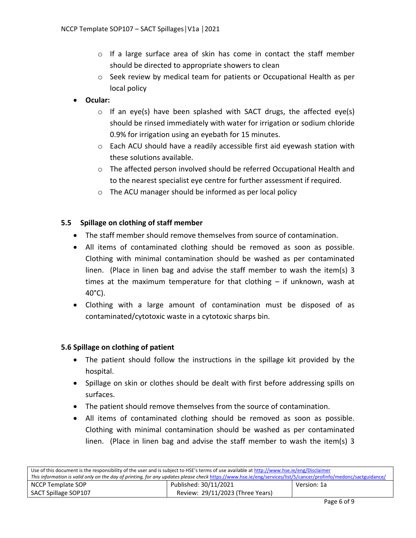- $\circ$  If a large surface area of skin has come in contact the staff member should be directed to appropriate showers to clean
- $\circ$  Seek review by medical team for patients or Occupational Health as per local policy

# **Ocular:**

- $\circ$  If an eye(s) have been splashed with SACT drugs, the affected eye(s) should be rinsed immediately with water for irrigation or sodium chloride 0.9% for irrigation using an eyebath for 15 minutes.
- $\circ$  Each ACU should have a readily accessible first aid eyewash station with these solutions available.
- o The affected person involved should be referred Occupational Health and to the nearest specialist eye centre for further assessment if required.
- o The ACU manager should be informed as per local policy

#### **5.5 Spillage on clothing of staff member**

- The staff member should remove themselves from source of contamination.
- All items of contaminated clothing should be removed as soon as possible. Clothing with minimal contamination should be washed as per contaminated linen. (Place in linen bag and advise the staff member to wash the item(s) 3 times at the maximum temperature for that clothing – if unknown, wash at 40°C).
- Clothing with a large amount of contamination must be disposed of as contaminated/cytotoxic waste in a cytotoxic sharps bin.

#### **5.6 Spillage on clothing of patient**

- The patient should follow the instructions in the spillage kit provided by the hospital.
- Spillage on skin or clothes should be dealt with first before addressing spills on surfaces.
- The patient should remove themselves from the source of contamination.
- All items of contaminated clothing should be removed as soon as possible. Clothing with minimal contamination should be washed as per contaminated linen. (Place in linen bag and advise the staff member to wash the item(s) 3

| Use of this document is the responsibility of the user and is subject to HSE's terms of use available at http://www.hse.ie/eng/Disclaimer                       |                                  |             |  |
|-----------------------------------------------------------------------------------------------------------------------------------------------------------------|----------------------------------|-------------|--|
| This information is valid only on the day of printing, for any updates please check https://www.hse.ie/eng/services/list/5/cancer/profinfo/medonc/sactguidance/ |                                  |             |  |
| NCCP Template SOP                                                                                                                                               | Published: 30/11/2021            | Version: 1a |  |
| SACT Spillage SOP107                                                                                                                                            | Review: 29/11/2023 (Three Years) |             |  |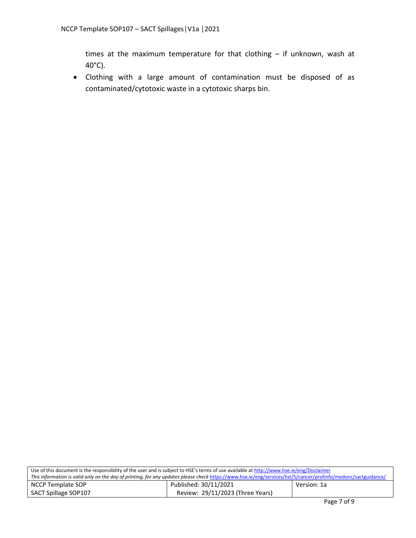times at the maximum temperature for that clothing – if unknown, wash at 40°C).

 Clothing with a large amount of contamination must be disposed of as contaminated/cytotoxic waste in a cytotoxic sharps bin.

| Use of this document is the responsibility of the user and is subject to HSE's terms of use available at http://www.hse.ie/eng/Disclaimer                       |                                  |             |  |
|-----------------------------------------------------------------------------------------------------------------------------------------------------------------|----------------------------------|-------------|--|
| This information is valid only on the day of printing, for any updates please check https://www.hse.ie/eng/services/list/5/cancer/profinfo/medonc/sactguidance/ |                                  |             |  |
| NCCP Template SOP                                                                                                                                               | Published: 30/11/2021            | Version: 1a |  |
| SACT Spillage SOP107                                                                                                                                            | Review: 29/11/2023 (Three Years) |             |  |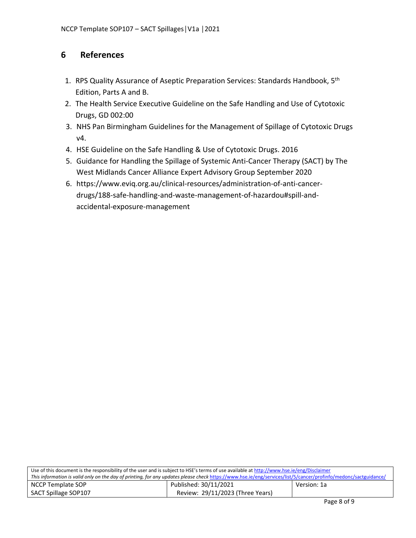# **6 References**

- 1. RPS Quality Assurance of Aseptic Preparation Services: Standards Handbook, 5<sup>th</sup> Edition, Parts A and B.
- 2. The Health Service Executive Guideline on the Safe Handling and Use of Cytotoxic Drugs, GD 002:00
- 3. NHS Pan Birmingham Guidelines for the Management of Spillage of Cytotoxic Drugs v4.
- 4. HSE Guideline on the Safe Handling & Use of Cytotoxic Drugs. 2016
- 5. Guidance for Handling the Spillage of Systemic Anti-Cancer Therapy (SACT) by The West Midlands Cancer Alliance Expert Advisory Group September 2020
- 6. https://www.eviq.org.au/clinical-resources/administration-of-anti-cancerdrugs/188-safe-handling-and-waste-management-of-hazardou#spill-andaccidental-exposure-management

| Use of this document is the responsibility of the user and is subject to HSE's terms of use available at http://www.hse.ie/eng/Disclaimer                       |                                  |             |  |
|-----------------------------------------------------------------------------------------------------------------------------------------------------------------|----------------------------------|-------------|--|
| This information is valid only on the day of printing, for any updates please check https://www.hse.ie/eng/services/list/5/cancer/profinfo/medonc/sactguidance/ |                                  |             |  |
| NCCP Template SOP                                                                                                                                               | Published: 30/11/2021            | Version: 1a |  |
| SACT Spillage SOP107                                                                                                                                            | Review: 29/11/2023 (Three Years) |             |  |